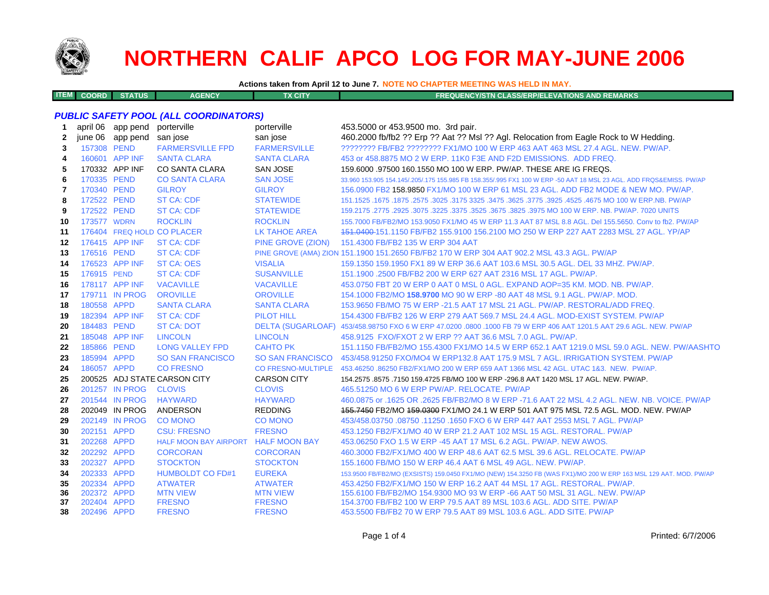

**ITEM**

# **NORTHERN CALIF APCO LOG FOR MAY-JUNE 2006**

**Actions taken from April 12 to June 7. NOTE NO CHAPTER MEETING WAS HELD IN MAY.**

**COORD STATUS AGENCY TX CITY FREQUENCY/STN CLASS/ERP/ELEVATIONS AND REMARKS**

### *PUBLIC SAFETY POOL (ALL COORDINATORS)*

| 1  |             | april 06 app pend         | porterville                         | porterville               | 453.5000 or 453.9500 mo. 3rd pair.                                                                                  |
|----|-------------|---------------------------|-------------------------------------|---------------------------|---------------------------------------------------------------------------------------------------------------------|
| 2  |             | june 06 app pend san jose |                                     | san jose                  | 460.2000 fb/fb2 ?? Erp ?? Aat ?? Msl ?? Agl. Relocation from Eagle Rock to W Hedding.                               |
| 3  | 157308 PEND |                           | <b>FARMERSVILLE FPD</b>             | <b>FARMERSVILLE</b>       | ???????? FB/FB2 ???????? FX1/MO 100 W ERP 463 AAT 463 MSL 27.4 AGL. NEW. PW/AP.                                     |
| 4  |             | 160601 APP INF            | <b>SANTA CLARA</b>                  | <b>SANTA CLARA</b>        | 453 or 458,8875 MO 2 W ERP, 11K0 F3E AND F2D EMISSIONS. ADD FREQ.                                                   |
| 5  |             | 170332 APP INF            | <b>CO SANTA CLARA</b>               | <b>SAN JOSE</b>           | 159,6000 .97500 160.1550 MO 100 W ERP. PW/AP. THESE ARE IG FREQS.                                                   |
| 6  | 170335 PEND |                           | <b>CO SANTA CLARA</b>               | <b>SAN JOSE</b>           | 33.960 153.905 154.145/.205/.175 155.985 FB 158.355/.995 FX1 100 W ERP -50 AAT 18 MSL 23 AGL. ADD FRQS&EMISS. PW/AP |
| 7  | 170340 PEND |                           | <b>GILROY</b>                       | <b>GILROY</b>             | 156.0900 FB2 158.9850 FX1/MO 100 W ERP 61 MSL 23 AGL. ADD FB2 MODE & NEW MO. PW/AP.                                 |
| 8  | 172522 PEND |                           | <b>ST CA: CDF</b>                   | <b>STATEWIDE</b>          | 151.1525 .1675 .1675 .3625 .3625 .3775 .3925 .3925 .3775 .3925 .3775 .3925 .4525 .1675 .1675 .1679 .1679 .1679      |
| 9  | 172522 PEND |                           | <b>ST CA: CDF</b>                   | <b>STATEWIDE</b>          | 159.2175 .2775 .2925 .3075 .3225 .3575 .3675 .3675 .3925 .3975 MO 100 W ERP. NB. PW/AP. 7020 UNITS                  |
| 10 | 173577 WDRN |                           | <b>ROCKLIN</b>                      | <b>ROCKLIN</b>            | 155,7000 FB/FB2/MO 153,9050 FX1/MO 45 W ERP 11.3 AAT 87 MSL 8.8 AGL, Del 155,5650, Conv to fb2, PW/AP               |
| 11 |             |                           | 176404 FREQ HOLD CO PLACER          | <b>LK TAHOE AREA</b>      | 451.0400-151.1150 FB/FB2 155.9100 156.2100 MO 250 W ERP 227 AAT 2283 MSL 27 AGL. YP/AP                              |
| 12 |             | 176415 APP INF            | <b>ST CA: CDF</b>                   | PINE GROVE (ZION)         | 151.4300 FB/FB2 135 W ERP 304 AAT                                                                                   |
| 13 | 176516 PEND |                           | <b>ST CA: CDF</b>                   |                           | PINE GROVE (AMA) ZION 151.1900 151.2650 FB/FB2 170 W ERP 304 AAT 902.2 MSL 43.3 AGL. PW/AP                          |
| 14 |             | 176523 APP INF            | <b>ST CA: OES</b>                   | <b>VISALIA</b>            | 159.1350 159.1950 FX1 89 W ERP 36.6 AAT 103.6 MSL 30.5 AGL, DEL 33 MHZ, PW/AP,                                      |
| 15 | 176915 PEND |                           | <b>ST CA: CDF</b>                   | <b>SUSANVILLE</b>         | 151.1900 .2500 FB/FB2 200 W ERP 627 AAT 2316 MSL 17 AGL, PW/AP.                                                     |
| 16 |             | 178117 APP INF            | <b>VACAVILLE</b>                    | <b>VACAVILLE</b>          | 453.0750 FBT 20 W ERP 0 AAT 0 MSL 0 AGL. EXPAND AOP=35 KM. MOD. NB. PW/AP.                                          |
| 17 |             | 179711 IN PROG            | <b>OROVILLE</b>                     | <b>OROVILLE</b>           | 154.1000 FB2/MO 158.9700 MO 90 W ERP -80 AAT 48 MSL 9.1 AGL, PW/AP, MOD,                                            |
| 18 | 180558 APPD |                           | <b>SANTA CLARA</b>                  | <b>SANTA CLARA</b>        | 153,9650 FB/MO 75 W ERP -21.5 AAT 17 MSL 21 AGL, PW/AP, RESTORAL/ADD FREQ.                                          |
| 19 |             | 182394 APP INF            | <b>ST CA: CDF</b>                   | <b>PILOT HILL</b>         | 154,4300 FB/FB2 126 W ERP 279 AAT 569.7 MSL 24.4 AGL, MOD-EXIST SYSTEM, PW/AP                                       |
| 20 | 184483 PEND |                           | <b>ST CA: DOT</b>                   |                           | DELTA (SUGARLOAF) 453/458.98750 FXO 6 W ERP 47.0200 .0800 .1000 FB 79 W ERP 406 AAT 1201.5 AAT 29.6 AGL. NEW. PW/AP |
| 21 |             | 185048 APP INF            | <b>LINCOLN</b>                      | <b>LINCOLN</b>            | 458.9125 FXO/FXOT 2 W ERP ?? AAT 36.6 MSL 7.0 AGL, PW/AP.                                                           |
| 22 | 185866 PEND |                           | <b>LONG VALLEY FPD</b>              | <b>CAHTO PK</b>           | 151.1150 FB/FB2/MO 155.4300 FX1/MO 14.5 W ERP 652.1 AAT 1219.0 MSL 59.0 AGL, NEW, PW/AASHTO                         |
| 23 | 185994 APPD |                           | <b>SO SAN FRANCISCO</b>             | <b>SO SAN FRANCISCO</b>   | 453/458,91250 FXO/MO4 W ERP132.8 AAT 175.9 MSL 7 AGL. IRRIGATION SYSTEM, PW/AP                                      |
| 24 | 186057 APPD |                           | <b>CO FRESNO</b>                    | <b>CO FRESNO-MULTIPLE</b> | 453.46250 .86250 FB2/FX1/MO 200 W ERP 659 AAT 1366 MSL 42 AGL. UTAC 1&3. NEW. PW/AP.                                |
| 25 |             |                           | 200525 ADJ STATE CARSON CITY        | <b>CARSON CITY</b>        | 154.2575 .8575 .7150 159.4725 FB/MO 100 W ERP -296.8 AAT 1420 MSL 17 AGL. NEW. PW/AP.                               |
| 26 |             | 201257 IN PROG            | <b>CLOVIS</b>                       | <b>CLOVIS</b>             | 465.51250 MO 6 W ERP PW/AP, RELOCATE, PW/AP                                                                         |
| 27 |             | 201544 IN PROG            | <b>HAYWARD</b>                      | <b>HAYWARD</b>            | 460.0875 or .1625 OR .2625 FB/FB2/MO 8 W ERP -71.6 AAT 22 MSL 4.2 AGL, NEW, NB, VOICE, PW/AP                        |
| 28 |             | 202049 IN PROG            | ANDERSON                            | <b>REDDING</b>            | 155.7450 FB2/MO 159.0300 FX1/MO 24.1 W ERP 501 AAT 975 MSL 72.5 AGL. MOD. NEW. PW/AP                                |
| 29 |             | 202149 IN PROG            | <b>CO MONO</b>                      | <b>CO MONO</b>            | 453/458.03750 .08750 .11250 .1650 FXO 6 W ERP 447 AAT 2553 MSL 7 AGL, PW/AP                                         |
| 30 | 202151 APPD |                           | <b>CSU: FRESNO</b>                  | <b>FRESNO</b>             | 453.1250 FB2/FX1/MO 40 W ERP 21.2 AAT 102 MSL 15 AGL, RESTORAL, PW/AP                                               |
| 31 | 202268 APPD |                           | HALF MOON BAY AIRPORT HALF MOON BAY |                           | 453,06250 FXO 1.5 W ERP -45 AAT 17 MSL 6.2 AGL, PW/AP, NEW AWOS.                                                    |
| 32 | 202292 APPD |                           | <b>CORCORAN</b>                     | <b>CORCORAN</b>           | 460,3000 FB2/FX1/MO 400 W ERP 48.6 AAT 62.5 MSL 39.6 AGL, RELOCATE, PW/AP                                           |
| 33 | 202327 APPD |                           | <b>STOCKTON</b>                     | <b>STOCKTON</b>           | 155.1600 FB/MO 150 W ERP 46.4 AAT 6 MSL 49 AGL. NEW. PW/AP.                                                         |
| 34 | 202333 APPD |                           | <b>HUMBOLDT CO FD#1</b>             | <b>EUREKA</b>             | 153.9500 FB/FB2/MO (EXSISTS) 159.0450 FX1/MO (NEW) 154.3250 FB (WAS FX1)/MO 200 W ERP 163 MSL 129 AAT. MOD. PW/AP   |
| 35 | 202334 APPD |                           | <b>ATWATER</b>                      | <b>ATWATER</b>            | 453.4250 FB2/FX1/MO 150 W ERP 16.2 AAT 44 MSL 17 AGL, RESTORAL, PW/AP.                                              |
| 36 | 202372 APPD |                           | <b>MTN VIEW</b>                     | <b>MTN VIEW</b>           | 155,6100 FB/FB2/MO 154,9300 MO 93 W ERP -66 AAT 50 MSL 31 AGL, NEW, PW/AP                                           |
| 37 | 202404 APPD |                           | <b>FRESNO</b>                       | <b>FRESNO</b>             | 154,3700 FB/FB2 100 W ERP 79.5 AAT 89 MSL 103.6 AGL, ADD SITE, PW/AP                                                |
| 38 | 202496 APPD |                           | <b>FRESNO</b>                       | <b>FRESNO</b>             | 453.5500 FB/FB2 70 W ERP 79.5 AAT 89 MSL 103.6 AGL. ADD SITE. PW/AP                                                 |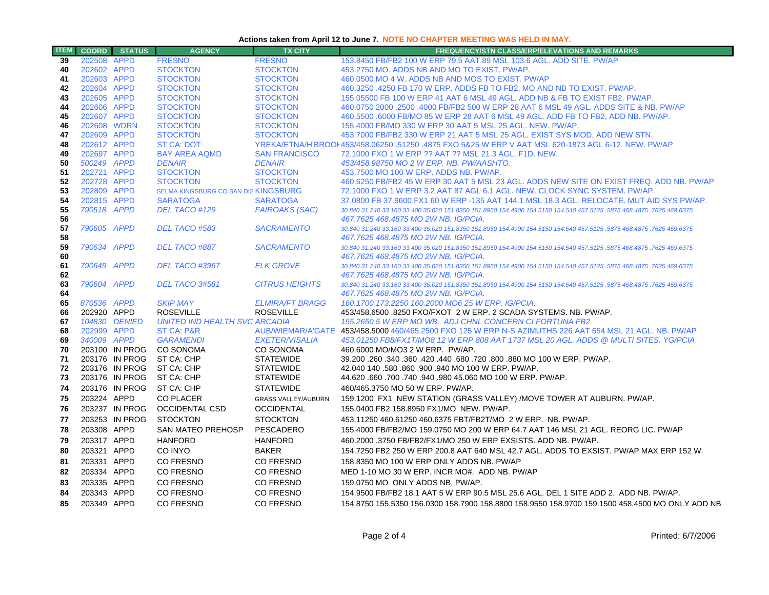### **Actions taken from April 12 to June 7. NOTE NO CHAPTER MEETING WAS HELD IN MAY.**

| <b>ITEM</b> | <b>COORD</b>               | <b>STATUS</b>  | <b>AGENCY</b>                               | <b>TX CITY</b>                        | <b>FREQUENCY/STN CLASS/ERP/ELEVATIONS AND REMARKS</b>                                                                                                               |
|-------------|----------------------------|----------------|---------------------------------------------|---------------------------------------|---------------------------------------------------------------------------------------------------------------------------------------------------------------------|
| 39          | 202508 APPD                |                | <b>FRESNO</b>                               | <b>FRESNO</b>                         | 153,8450 FB/FB2 100 W ERP 79.5 AAT 89 MSL 103.6 AGL, ADD SITE, PW/AP                                                                                                |
| 40          | 202602 APPD                |                | <b>STOCKTON</b>                             | <b>STOCKTON</b>                       | 453.2750 MO, ADDS NB AND MO TO EXIST, PW/AP.                                                                                                                        |
| 41          | 202603 APPD                |                | <b>STOCKTON</b>                             | <b>STOCKTON</b>                       | 460.0500 MO 4 W. ADDS NB AND MOS TO EXIST. PW/AP                                                                                                                    |
| 42          | 202604 APPD                |                | <b>STOCKTON</b>                             | <b>STOCKTON</b>                       | 460.3250 .4250 FB 170 W ERP. ADDS FB TO FB2, MO AND NB TO EXIST, PW/AP.                                                                                             |
| 43          | 202605 APPD                |                | <b>STOCKTON</b>                             | <b>STOCKTON</b>                       | 155,05500 FB 100 W ERP 41 AAT 6 MSL 49 AGL. ADD NB & FB TO EXIST FB2, PW/AP.                                                                                        |
| 44          | 202606 APPD                |                | <b>STOCKTON</b>                             | <b>STOCKTON</b>                       | 460,0750 2000 .2500 .4000 FB/FB2 500 W ERP 28 AAT 6 MSL 49 AGL, ADDS SITE & NB, PW/AP                                                                               |
| 45          | 202607 APPD                |                | <b>STOCKTON</b>                             | <b>STOCKTON</b>                       | 460.5500 .6000 FB/MO 85 W ERP 28 AAT 6 MSL 49 AGL. ADD FB TO FB2, ADD NB. PW/AP.                                                                                    |
| 46          | 202608 WDRN                |                | <b>STOCKTON</b>                             | <b>STOCKTON</b>                       | 155.4000 FB/MO 330 W ERP 30 AAT 5 MSL 25 AGL. NEW. PW/AP.                                                                                                           |
| 47          | 202609 APPD                |                | <b>STOCKTON</b>                             | <b>STOCKTON</b>                       | 453.7000 FB/FB2 330 W ERP 21 AAT 5 MSL 25 AGL. EXIST SYS MOD, ADD NEW STN.                                                                                          |
| 48          | 202612 APPD<br>202697 APPD |                | <b>ST CA: DOT</b>                           |                                       | YREKA/ETNA/H'BROOI 453/458.06250 .51250 .4875 FXO 5&25 W ERP V AAT MSL 620-1873 AGL 6-12. NEW. PW/AP                                                                |
| 49<br>50    | 500249 APPD                |                | <b>BAY AREA AQMD</b><br><b>DENAIR</b>       | <b>SAN FRANCISCO</b><br><b>DENAIR</b> | 72.1000 FXO 1 W ERP ?? AAT ?? MSL 21.3 AGL. F1D. NEW.<br>453/458.98750 MO 2 W ERP. NB. PW/AASHTO.                                                                   |
| 51          | 202721 APPD                |                | <b>STOCKTON</b>                             | <b>STOCKTON</b>                       | 453.7500 MO 100 W ERP. ADDS NB. PW/AP.                                                                                                                              |
| 52          | 202728 APPD                |                | <b>STOCKTON</b>                             | <b>STOCKTON</b>                       | 460,6250 FB/FB2 45 W ERP 30 AAT 5 MSL 23 AGL. ADDS NEW SITE ON EXIST FREQ. ADD NB, PW/AP                                                                            |
| 53          | 202809 APPD                |                | SELMA KINGSBURG CO SAN DIS KINGSBURG        |                                       | 72.1000 FXO 1 W ERP 3.2 AAT 87 AGL 6.1 AGL. NEW. CLOCK SYNC SYSTEM. PW/AP.                                                                                          |
| 54          | 202815 APPD                |                | <b>SARATOGA</b>                             | <b>SARATOGA</b>                       | 37.0800 FB 37.9600 FX1 60 W ERP -135 AAT 144.1 MSL 18.3 AGL. RELOCATE. MUT AID SYS PW/AP.                                                                           |
| 55          | 790518 APPD                |                | DEL TACO #129                               | <b>FAIROAKS (SAC)</b>                 | 30.840 31.240 33.160 33.400 35.020 151.8350 151.8950 154.4900 154.5150 154.540 457.5125 .5875 468.4875 .7625 469.6375                                               |
| 56          |                            |                |                                             |                                       | 467.7625 468.4875 MO 2W NB. IG/PCIA.                                                                                                                                |
| 57          | 790605 APPD                |                | DEL TACO #583                               | <b>SACRAMENTO</b>                     | 30.840 31.240 33.160 33.400 35.020 151.8350 151.8950 154.4900 154.5150 154.540 457.5125 .5875 468.4875 .7625 469.6375                                               |
| 58          |                            |                |                                             |                                       | 467.7625 468.4875 MO 2W NB. IG/PCIA.                                                                                                                                |
| 59          | 790634 APPD                |                | DEL TACO #887                               | <b>SACRAMENTO</b>                     | 30.840 31.240 33.160 33.400 35.020 151.8350 151.8950 154.4900 154.5150 154.540 457.5125 .5875 468.4875 .7625 469.6375                                               |
| 60          |                            |                |                                             |                                       |                                                                                                                                                                     |
| 61          | 790649 APPD                |                | DEL TACO #3967                              | <b>ELK GROVE</b>                      | 30.840 31.240 33.160 33.400 35.020 151.8350 151.8950 154.4900 154.5150 154.540 457.5125 .5875 468.4875 .7625 469.6375                                               |
| 62          |                            |                |                                             |                                       | 467.7625 468.4875 MO 2W NB. IG/PCIA.                                                                                                                                |
| 63          | 790604 APPD                |                | DEL TACO 3#581                              | <b>CITRUS HEIGHTS</b>                 | 30.840 31.240 33.160 33.400 35.020 151.8350 151.8950 154.4900 154.5150 154.540 457.5125 .5875 468.4875 .7625 469.6375                                               |
| 64          |                            |                |                                             |                                       | 467.7625 468.4875 MO 2W NB. IG/PCIA.                                                                                                                                |
| 65          | 870536 APPD                |                | <b>SKIP MAY</b>                             | <b>ELMIRA/FT BRAGG</b>                | 160.1700 173.2250 160.2000 MO6 25 W ERP. IG/PCIA.                                                                                                                   |
| 66          | 202920 APPD                |                | <b>ROSEVILLE</b>                            | <b>ROSEVILLE</b>                      | 453/458.6500 .8250 FXO/FXOT 2 W ERP. 2 SCADA SYSTEMS. NB. PW/AP.                                                                                                    |
| 67<br>68    | 202999 APPD                | 104830 DENIED  | UNITED IND HEALTH SVC ARCADIA<br>ST CA: P&R |                                       | 155.2650 5 W ERP MO WB. ADJ CHNL CONCERN CI FORTUNA FB2<br>AUB/WIEMAR/A'GATE 453/458.5000 460/465.2500 FXO 125 W ERP N-S AZIMUTHS 226 AAT 654 MSL 21 AGL. NB. PW/AP |
| 69          | 340009 APPD                |                | <b>GARAMENDI</b>                            | <b>EXETER/VISALIA</b>                 | 453.01250 FB8/FX1T/MO8 12 W ERP 808 AAT 1737 MSL 20 AGL. ADDS @ MULTI SITES. YG/PCIA                                                                                |
| 70          |                            | 203100 IN PROG | CO SONOMA                                   | CO SONOMA                             | 460.6000 MO/MO3 2 W ERP. PW/AP.                                                                                                                                     |
| 71          |                            | 203176 IN PROG | ST CA: CHP                                  | <b>STATEWIDE</b>                      | 39.200 .260 .340 .360 .420 .440 .680 .720 .800 .880 MO 100 W ERP. PW/AP.                                                                                            |
| 72          |                            | 203176 IN PROG | ST CA: CHP                                  | <b>STATEWIDE</b>                      | 42.040 140 .580 .860 .900 .940 MO 100 W ERP. PW/AP.                                                                                                                 |
| 73          |                            | 203176 IN PROG | ST CA: CHP                                  | <b>STATEWIDE</b>                      | 44.620 .660 .700 .740 .940 .980 45.060 MO 100 W ERP. PW/AP.                                                                                                         |
| 74          |                            | 203176 IN PROG | ST CA: CHP                                  | <b>STATEWIDE</b>                      | 460/465.3750 MO 50 W ERP. PW/AP.                                                                                                                                    |
| 75          | 203224 APPD                |                | <b>CO PLACER</b>                            | <b>GRASS VALLEY/AUBURN</b>            | 159.1200 FX1 NEW STATION (GRASS VALLEY) / MOVE TOWER AT AUBURN. PW/AP.                                                                                              |
| 76          |                            | 203237 IN PROG | <b>OCCIDENTAL CSD</b>                       | <b>OCCIDENTAL</b>                     | 155.0400 FB2 158.8950 FX1/MO NEW. PW/AP.                                                                                                                            |
| 77          |                            | 203253 IN PROG | <b>STOCKTON</b>                             | <b>STOCKTON</b>                       | 453.11250 460.61250 460.6375 FBT/FB2T/MO 2 W ERP. NB. PW/AP.                                                                                                        |
| 78          | 203308 APPD                |                | <b>SAN MATEO PREHOSP</b>                    | PESCADERO                             | 155.4000 FB/FB2/MO 159.0750 MO 200 W ERP 64.7 AAT 146 MSL 21 AGL. REORG LIC. PW/AP                                                                                  |
| 79          | 203317 APPD                |                | <b>HANFORD</b>                              | <b>HANFORD</b>                        | 460.2000 .3750 FB/FB2/FX1/MO 250 W ERP EXSISTS. ADD NB. PW/AP.                                                                                                      |
| 80          | 203321 APPD                |                | CO INYO                                     | <b>BAKER</b>                          | 154.7250 FB2 250 W ERP 200.8 AAT 640 MSL 42.7 AGL. ADDS TO EXSIST. PW/AP MAX ERP 152 W.                                                                             |
| 81          | 203331 APPD                |                | <b>CO FRESNO</b>                            | CO FRESNO                             | 158,8350 MO 100 W ERP ONLY ADDS NB, PW/AP                                                                                                                           |
|             |                            |                |                                             |                                       |                                                                                                                                                                     |
| 82          | 203334 APPD                |                | CO FRESNO                                   | CO FRESNO                             | MED 1-10 MO 30 W ERP. INCR MO#. ADD NB. PW/AP                                                                                                                       |
| 83          | 203335 APPD                |                | CO FRESNO                                   | CO FRESNO                             | 159.0750 MO ONLY ADDS NB. PW/AP.                                                                                                                                    |
| 84          | 203343 APPD                |                | CO FRESNO                                   | CO FRESNO                             | 154.9500 FB/FB2 18.1 AAT 5 W ERP 90.5 MSL 25.6 AGL. DEL 1 SITE ADD 2. ADD NB. PW/AP.                                                                                |
| 85          | 203349 APPD                |                | <b>CO FRESNO</b>                            | <b>CO FRESNO</b>                      | 154.8750 155.5350 156.0300 158.7900 158.8800 158.9550 158.9700 159.1500 458.4500 MO ONLY ADD NB                                                                     |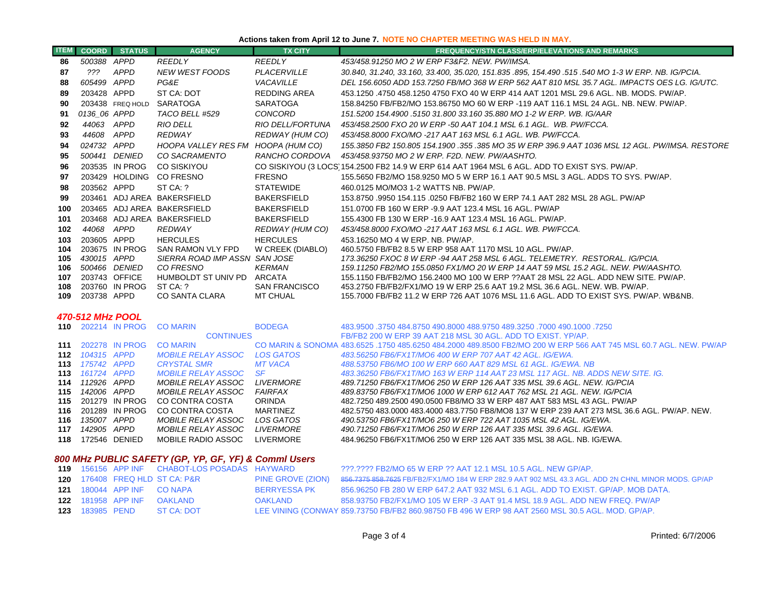#### **Actions taken from April 12 to June 7. NOTE NO CHAPTER MEETING WAS HELD IN MAY.**

| <b>ITEM</b> | <b>COORD</b>               | <b>STATUS</b>    | <b>AGENCY</b>                                   | <b>TX CITY</b>                 | <b>FREQUENCY/STN CLASS/ERP/ELEVATIONS AND REMARKS</b>                                                                                                             |
|-------------|----------------------------|------------------|-------------------------------------------------|--------------------------------|-------------------------------------------------------------------------------------------------------------------------------------------------------------------|
| 86          | 500388 APPD                |                  | <b>REEDLY</b>                                   | <b>REEDLY</b>                  | 453/458.91250 MO 2 W ERP F3&F2, NEW, PW/IMSA,                                                                                                                     |
| 87          | $??\%$                     | APPD             | <b>NEW WEST FOODS</b>                           | PLACERVILLE                    | 30.840, 31.240, 33.160, 33.400, 35.020, 151.835 .895, 154.490 .515 .540 MO 1-3 W ERP. NB. IG/PCIA.                                                                |
| 88          | 605499 APPD                |                  | PG&E                                            | <b>VACAVILLE</b>               | DEL 156.6050 ADD 153.7250 FB/MO 368 W ERP 562 AAT 810 MSL 35.7 AGL. IMPACTS OES LG. IG/UTC.                                                                       |
| 89          | 203428 APPD                |                  | ST CA: DOT                                      | <b>REDDING AREA</b>            | 453.1250 .4750 458.1250 4750 FXO 40 W ERP 414 AAT 1201 MSL 29.6 AGL. NB. MODS. PW/AP.                                                                             |
| 90          |                            | 203438 FREQ HOLD | SARATOGA                                        | <b>SARATOGA</b>                | 158.84250 FB/FB2/MO 153.86750 MO 60 W ERP -119 AAT 116.1 MSL 24 AGL. NB. NEW. PW/AP.                                                                              |
| 91          | 0136 06 APPD               |                  | TACO BELL #529                                  | CONCORD                        | 151.5200 154.4900 .5150 31.800 33.160 35.880 MO 1-2 W ERP, WB, IG/AAR                                                                                             |
| 92          | 44063 APPD                 |                  | RIO DELL                                        | RIO DELL/FORTUNA               | 453/458.2500 FXO 20 W ERP -50 AAT 104.1 MSL 6.1 AGL. WB. PW/FCCA.                                                                                                 |
| 93          | 44608 APPD                 |                  | <b>REDWAY</b>                                   | REDWAY (HUM CO)                | 453/458.8000 FXO/MO -217 AAT 163 MSL 6.1 AGL. WB. PW/FCCA.                                                                                                        |
| 94          | 024732 APPD                |                  | HOOPA VALLEY RES FM HOOPA (HUM CO)              |                                | 155.3850 FB2 150.805 154.1900 .355 .385 MO 35 W ERP 396.9 AAT 1036 MSL 12 AGL. PW/IMSA. RESTORE                                                                   |
| 95          |                            | 500441 DENIED    | CO SACRAMENTO                                   | RANCHO CORDOVA                 | 453/458.93750 MO 2 W ERP. F2D. NEW. PW/AASHTO.                                                                                                                    |
| 96          |                            | 203535 IN PROG   | <b>CO SISKIYOU</b>                              |                                | CO SISKIYOU (3 LOCS 154.2500 FB2 14.9 W ERP 614 AAT 1964 MSL 6 AGL. ADD TO EXIST SYS. PW/AP.                                                                      |
| 97          |                            | 203429 HOLDING   | <b>CO FRESNO</b>                                | <b>FRESNO</b>                  | 155.5650 FB2/MO 158.9250 MO 5 W ERP 16.1 AAT 90.5 MSL 3 AGL. ADDS TO SYS. PW/AP.                                                                                  |
| 98          | 203562 APPD                |                  | ST CA: ?                                        | <b>STATEWIDE</b>               | 460.0125 MO/MO3 1-2 WATTS NB. PW/AP.                                                                                                                              |
| 99          |                            |                  | 203461 ADJ AREA BAKERSFIELD                     | <b>BAKERSFIELD</b>             | 153.8750 .9950 154.115 .0250 FB/FB2 160 W ERP 74.1 AAT 282 MSL 28 AGL. PW/AP                                                                                      |
| 100         |                            |                  | 203465 ADJ AREA BAKERSFIELD                     | <b>BAKERSFIELD</b>             | 151.0700 FB 160 W ERP -9.9 AAT 123.4 MSL 16 AGL, PW/AP                                                                                                            |
| 101         |                            |                  | 203468 ADJ AREA BAKERSFIELD                     | <b>BAKERSFIELD</b>             | 155.4300 FB 130 W ERP -16.9 AAT 123.4 MSL 16 AGL. PW/AP.                                                                                                          |
| 102         | 44068 APPD                 |                  | <b>REDWAY</b>                                   | REDWAY (HUM CO)                | 453/458.8000 FXO/MO -217 AAT 163 MSL 6.1 AGL. WB. PW/FCCA.                                                                                                        |
| 103         | 203605 APPD                |                  | <b>HERCULES</b>                                 | <b>HERCULES</b>                | 453.16250 MO 4 W ERP. NB. PW/AP.                                                                                                                                  |
| 104         |                            | 203675 IN PROG   | SAN RAMON VLY FPD                               | W CREEK (DIABLO)               | 460.5750 FB/FB2 8.5 W ERP 958 AAT 1170 MSL 10 AGL. PW/AP.                                                                                                         |
| 105         | 430015 APPD                |                  | SIERRA ROAD IMP ASSN SAN JOSE                   |                                | 173.36250 FXOC 8 W ERP -94 AAT 258 MSL 6 AGL. TELEMETRY. RESTORAL. IG/PCIA.                                                                                       |
| 106         |                            | 500466 DENIED    | CO FRESNO                                       | <b>KERMAN</b>                  | 159.11250 FB2/MO 155.0850 FX1/MO 20 W ERP 14 AAT 59 MSL 15.2 AGL. NEW. PW/AASHTO.                                                                                 |
| 107<br>108  | 203743 OFFICE              | 203760 IN PROG   | HUMBOLDT ST UNIV PD<br>ST CA: ?                 | ARCATA<br><b>SAN FRANCISCO</b> | 155.1150 FB/FB2/MO 156.2400 MO 100 W ERP ??AAT 28 MSL 22 AGL. ADD NEW SITE, PW/AP,<br>453.2750 FB/FB2/FX1/MO 19 W ERP 25.6 AAT 19.2 MSL 36.6 AGL. NEW. WB. PW/AP. |
| 109         | 203738 APPD                |                  | <b>CO SANTA CLARA</b>                           | <b>MT CHUAL</b>                | 155.7000 FB/FB2 11.2 W ERP 726 AAT 1076 MSL 11.6 AGL. ADD TO EXIST SYS. PW/AP. WB&NB.                                                                             |
|             |                            |                  |                                                 |                                |                                                                                                                                                                   |
|             | 470-512 MHz POOL           |                  |                                                 |                                |                                                                                                                                                                   |
| 110         |                            | 202214 IN PROG   | <b>CO MARIN</b>                                 | <b>BODEGA</b>                  | 483,9500 .3750 484,8750 490,8000 488,9750 489,3250 .7000 490,1000 .3750                                                                                           |
|             |                            |                  | <b>CONTINUES</b>                                |                                | FB/FB2 200 W ERP 39 AAT 218 MSL 30 AGL, ADD TO EXIST, YP/AP.                                                                                                      |
| 111         |                            | 202278 IN PROG   | <b>CO MARIN</b>                                 |                                | CO MARIN & SONOMA 483,6525, 1750 485,6250 484,2000 489,8500 FB2/MO 200 W ERP 566 AAT 745 MSL 60.7 AGL, NEW, PW/AP                                                 |
| 112         | 104315 APPD                |                  | <b>MOBILE RELAY ASSOC</b>                       | <b>LOS GATOS</b>               | 483.56250 FB6/FX1T/MO6 400 W ERP 707 AAT 42 AGL. IG/EWA.                                                                                                          |
| 113<br>113  | 175742 APPD<br>161724 APPD |                  | <b>CRYSTAL SMR</b><br><b>MOBILE RELAY ASSOC</b> | <b>MT VACA</b><br><b>SF</b>    | 488.53750 FB6/MO 100 W ERP 660 AAT 829 MSL 61 AGL. IG/EWA. NB<br>483.36250 FB6/FX1T/MO 163 W ERP 114 AAT 23 MSL 117 AGL. NB. ADDS NEW SITE. IG.                   |
| 114         | 112926 APPD                |                  | MOBILE RELAY ASSOC                              | <i>LIVERMORE</i>               | 489.71250 FB6/FX1T/MO6 250 W ERP 126 AAT 335 MSL 39.6 AGL. NEW. IG/PCIA                                                                                           |
| 115         | 142006 APPD                |                  | <i>MOBILE RELAY ASSOC</i>                       | <b>FAIRFAX</b>                 | 489.83750 FB6/FX1T/MO6 1000 W ERP 612 AAT 762 MSL 21 AGL. NEW. IG/PCIA                                                                                            |
| 115         |                            | 201279 IN PROG   | CO CONTRA COSTA                                 | <b>ORINDA</b>                  | 482.7250 489.2500 490.0500 FB8/MO 33 W ERP 487 AAT 583 MSL 43 AGL. PW/AP                                                                                          |
| 116         |                            | 201289 IN PROG   | CO CONTRA COSTA                                 | <b>MARTINEZ</b>                | 482.5750 483.0000 483.4000 483.7750 FB8/MO8 137 W ERP 239 AAT 273 MSL 36.6 AGL. PW/AP. NEW.                                                                       |
| 116         | 135007 APPD                |                  | MOBILE RELAY ASSOC                              | LOS GATOS                      | 490.53750 FB6/FX1T/MO6 250 W ERP 722 AAT 1035 MSL 42 AGL. IG/EWA.                                                                                                 |
| 117         | 142905 APPD                |                  | MOBILE RELAY ASSOC                              | <b>LIVERMORE</b>               | 490.71250 FB6/FX1T/MO6 250 W ERP 126 AAT 335 MSL 39.6 AGL. IG/EWA.                                                                                                |
| 118         |                            | 172546 DENIED    | <b>MOBILE RADIO ASSOC</b>                       | <b>LIVERMORE</b>               | 484.96250 FB6/FX1T/MO6 250 W ERP 126 AAT 335 MSL 38 AGL, NB, IG/EWA,                                                                                              |

## *800 MHz PUBLIC SAFETY (GP, YP, GF, YF) & Comml Users*

|  |                                   | 119 156156 APP INF CHABOT-LOS POSADAS HAYWARD |                   | ???.???? FB2/MO 65 W ERP ?? AAT 12.1 MSL 10.5 AGL. NEW GP/AP.                                       |
|--|-----------------------------------|-----------------------------------------------|-------------------|-----------------------------------------------------------------------------------------------------|
|  |                                   | <b>120</b> 176408 FREQ HLD ST CA: P&R         | PINE GROVE (ZION) | 856.7375 858.7625 FB/FB2/FX1/MO 184 W ERP 282.9 AAT 902 MSL 43.3 AGL. ADD 2N CHNL MINOR MODS. GP/AP |
|  | <b>121</b> 180044 APP INF CO NAPA |                                               | BERRYESSA PK      | 856,96250 FB 280 W ERP 647.2 AAT 932 MSL 6.1 AGL, ADD TO EXIST, GP/AP, MOB DATA,                    |
|  |                                   | <b>122</b> 181958 APP INF OAKLAND             | OAKLAND           | 858.93750 FB2/FX1/MO 105 W ERP -3 AAT 91.4 MSL 18.9 AGL. ADD NEW FREQ. PW/AP                        |
|  |                                   | <b>123</b> 183985 PEND ST CA: DOT             |                   | LEE VINING (CONWAY 859.73750 FB/FB2 860.98750 FB 496 W ERP 98 AAT 2560 MSL 30.5 AGL. MOD. GP/AP.    |